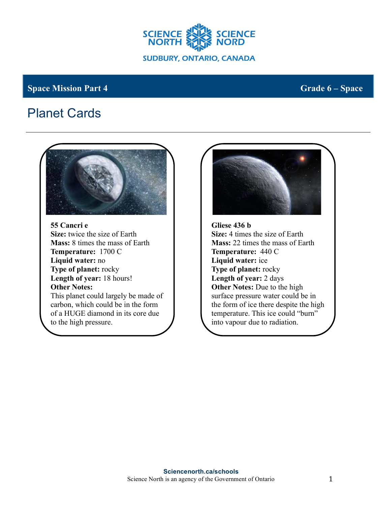

## **Space Mission Part 4 Grade 6** – **Space Mission Part 4 Grade 6** – **Space**

## Planet Cards

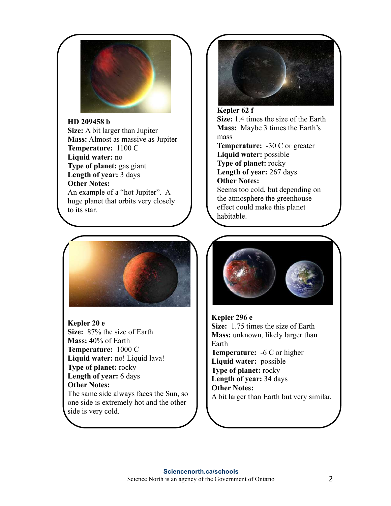

## **HD 209458 b**

**Size:** A bit larger than Jupiter **Mass:** Almost as massive as Jupiter **Temperature:** 1100 C **Liquid water:** no **Type of planet:** gas giant **Length of year:** 3 days **Other Notes:** An example of a "hot Jupiter". A huge planet that orbits very closely to its star.



**Kepler 20 e Size:** 87% the size of Earth **Mass:** 40% of Earth **Temperature:** 1000 C **Liquid water:** no! Liquid lava! **Type of planet:** rocky **Length of year:** 6 days **Other Notes:** The same side always faces the Sun, so one side is extremely hot and the other side is very cold.



**Kepler 62 f Size:** 1.4 times the size of the Earth **Mass:** Maybe 3 times the Earth's mass **Temperature:** -30 C or greater **Liquid water:** possible **Type of planet:** rocky **Length of year:** 267 days **Other Notes:** Seems too cold, but depending on the atmosphere the greenhouse effect could make this planet habitable.



**Kepler 296 e Size:** 1.75 times the size of Earth **Mass:** unknown, likely larger than Earth **Temperature:** -6 C or higher **Liquid water:** possible **Type of planet:** rocky **Length of year:** 34 days **Other Notes:** A bit larger than Earth but very similar.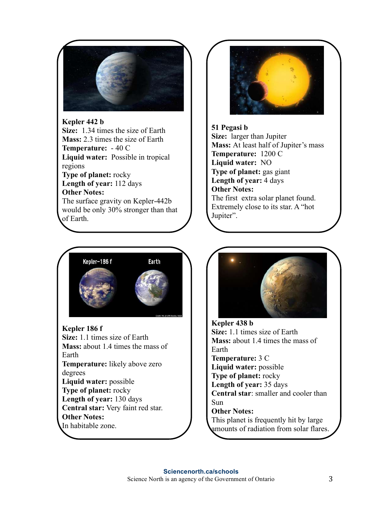

**Kepler 442 b Size:** 1.34 times the size of Earth **Mass:** 2.3 times the size of Earth **Temperature:** - 40 C **Liquid water:** Possible in tropical regions **Type of planet:** rocky **Length of year:** 112 days **Other Notes:**  The surface gravity on Kepler-442b would be only 30% stronger than that of Earth.



**Kepler 186 f Size:** 1.1 times size of Earth **Mass:** about 1.4 times the mass of Earth **Temperature:** likely above zero degrees **Liquid water:** possible **Type of planet:** rocky **Length of year:** 130 days **Central star:** Very faint red star. **Other Notes:** In habitable zone.



**51 Pegasi b Size:** larger than Jupiter **Mass:** At least half of Jupiter's mass **Temperature:** 1200 C **Liquid water:** NO **Type of planet:** gas giant **Length of year:** 4 days **Other Notes:**  The first extra solar planet found. Extremely close to its star. A "hot Jupiter".



**Kepler 438 b Size:** 1.1 times size of Earth **Mass:** about 1.4 times the mass of Earth **Temperature:** 3 C **Liquid water:** possible **Type of planet:** rocky **Length of year:** 35 days **Central star**: smaller and cooler than Sun **Other Notes:** This planet is frequently hit by large amounts of radiation from solar flares.